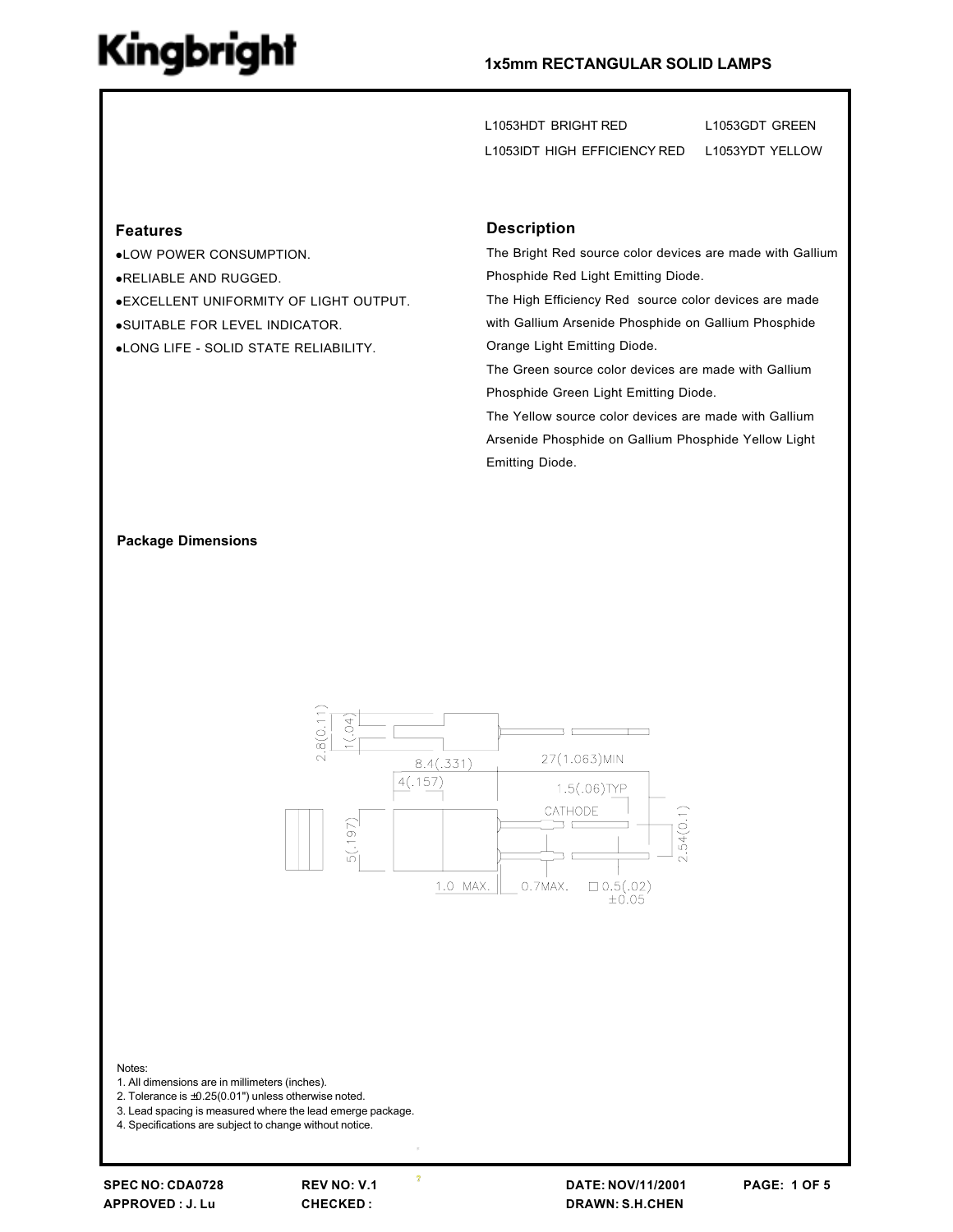#### 1x5mm RECTANGULAR SOLID LAMPS

L1053HDT BRIGHT RED L1053GDT GREEN L1053IDT HIGH EFFICIENCY RED L1053YDT YELLOW

#### **Features**

.LOW POWER CONSUMPTION. .RELIABLE AND RUGGED. **.EXCELLENT UNIFORMITY OF LIGHT OUTPUT.** .SUITABLE FOR LEVEL INDICATOR. .LONG LIFE - SOLID STATE RELIABILITY.

#### **Description**

The Bright Red source color devices are made with Gallium Phosphide Red Light Emitting Diode.

The High Efficiency Red source color devices are made with Gallium Arsenide Phosphide on Gallium Phosphide Orange Light Emitting Diode.

The Green source color devices are made with Gallium Phosphide Green Light Emitting Diode.

The Yellow source color devices are made with Gallium Arsenide Phosphide on Gallium Phosphide Yellow Light Emitting Diode.

#### **Package Dimensions**



Notes:

1. All dimensions are in millimeters (inches).

2. Tolerance is  $\pm 0.25(0.01)$  unless otherwise noted.

3. Lead spacing is measured where the lead emerge package.

4. Specifications are subject to change without notice.

**REV NO: V.1** CHECKED:

 $\overline{\mathbf{r}}$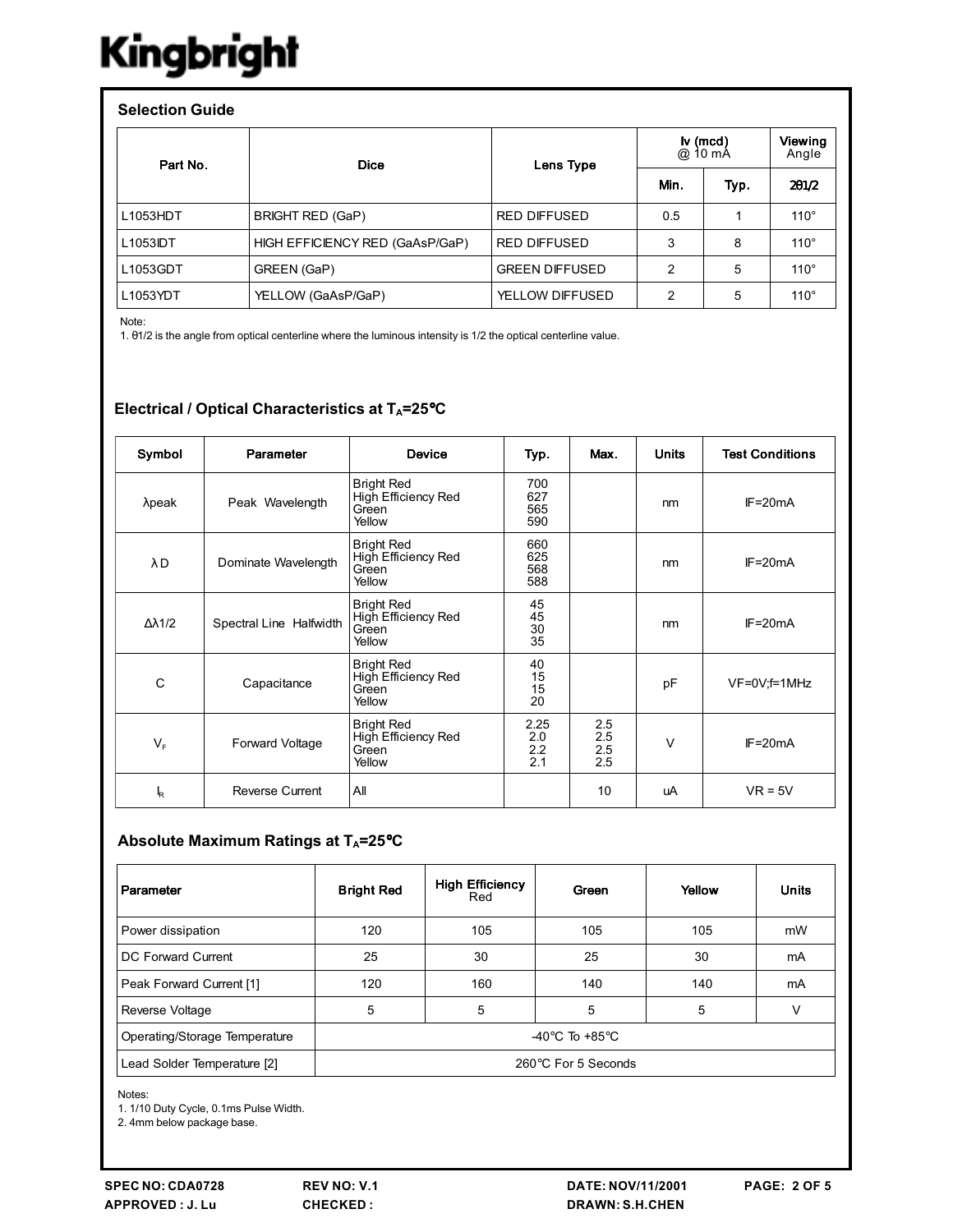| <b>Selection Guide</b> |                                 |                       |                       |      |                  |  |  |  |
|------------------------|---------------------------------|-----------------------|-----------------------|------|------------------|--|--|--|
| Part No.               | <b>Dice</b>                     | Lens Type             | $iv$ (mcd)<br>@ 10 mA |      | Viewing<br>Angle |  |  |  |
|                        |                                 |                       | Min.                  | Typ. | 201/2            |  |  |  |
| L1053HDT               | <b>BRIGHT RED (GaP)</b>         | <b>RED DIFFUSED</b>   | 0.5                   |      | $110^\circ$      |  |  |  |
| L1053IDT               | HIGH EFFICIENCY RED (GaAsP/GaP) | <b>RED DIFFUSED</b>   | 3                     | 8    | $110^\circ$      |  |  |  |
| L1053GDT               | GREEN (GaP)                     | <b>GREEN DIFFUSED</b> | 2                     | 5    | $110^\circ$      |  |  |  |
| L1053YDT               | YELLOW (GaAsP/GaP)              | YELLOW DIFFUSED       | 2                     | 5    | $110^\circ$      |  |  |  |

Note:

1. 01/2 is the angle from optical centerline where the luminous intensity is 1/2 the optical centerline value.

### Electrical / Optical Characteristics at TA=25°C

| Symbol               | Parameter               | <b>Device</b>                                               | Typ.                      | Max.                     | <b>Units</b> | <b>Test Conditions</b> |
|----------------------|-------------------------|-------------------------------------------------------------|---------------------------|--------------------------|--------------|------------------------|
| $\lambda$ peak       | Peak Wavelength         | <b>Bright Red</b><br>High Efficiency Red<br>Green<br>Yellow | 700<br>627<br>565<br>590  |                          | nm           | $IF = 20mA$            |
| λD                   | Dominate Wavelength     | <b>Bright Red</b><br>High Efficiency Red<br>Green<br>Yellow | 660<br>625<br>568<br>588  |                          | nm           | $IF = 20mA$            |
| $\Delta \lambda$ 1/2 | Spectral Line Halfwidth | <b>Bright Red</b><br>High Efficiency Red<br>Green<br>Yellow | 45<br>45<br>30<br>35      |                          | nm           | $IF = 20mA$            |
| C                    | Capacitance             | <b>Bright Red</b><br>High Efficiency Red<br>Green<br>Yellow | 40<br>15<br>15<br>20      |                          | pF           | $VF=0V; f=1MHz$        |
| $V_{F}$              | Forward Voltage         | <b>Bright Red</b><br>High Efficiency Red<br>Green<br>Yellow | 2.25<br>2.0<br>2.2<br>2.1 | 2.5<br>2.5<br>2.5<br>2.5 | V            | $IF = 20mA$            |
| k                    | <b>Reverse Current</b>  | All                                                         |                           | 10                       | uA           | $VR = 5V$              |

## Absolute Maximum Ratings at TA=25°C

| Parameter                     | <b>Bright Red</b>                  | <b>High Efficiency</b><br>Red | Green | Yellow | <b>Units</b> |
|-------------------------------|------------------------------------|-------------------------------|-------|--------|--------------|
| Power dissipation             | 120                                | 105                           | 105   | 105    | mW           |
| DC Forward Current            | 25                                 | 30                            | 25    | 30     | mA           |
| Peak Forward Current [1]      | 120                                | 160                           | 140   | 140    | mA           |
| Reverse Voltage               | 5                                  | 5                             | 5     | 5      | ν            |
| Operating/Storage Temperature | -40 $\degree$ C To +85 $\degree$ C |                               |       |        |              |
| Lead Solder Temperature [2]   | 260°C For 5 Seconds                |                               |       |        |              |

Notes:

1. 1/10 Duty Cycle, 0.1ms Pulse Width.

2. 4mm below package base.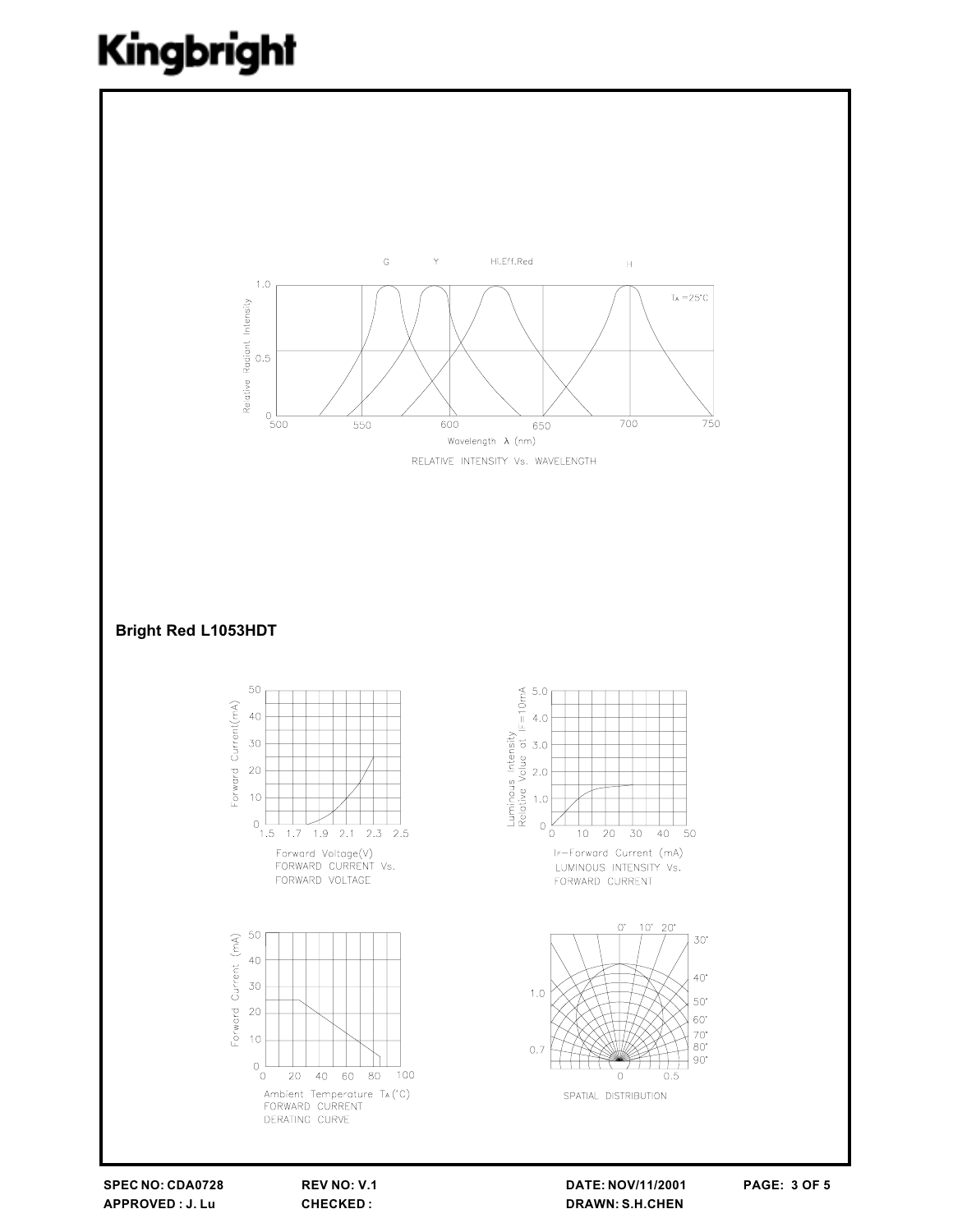

SPEC NO: CDA0728 APPROVED: J. Lu

REV NO: V.1 **CHECKED:** 

DATE: NOV/11/2001 **DRAWN: S.H.CHEN**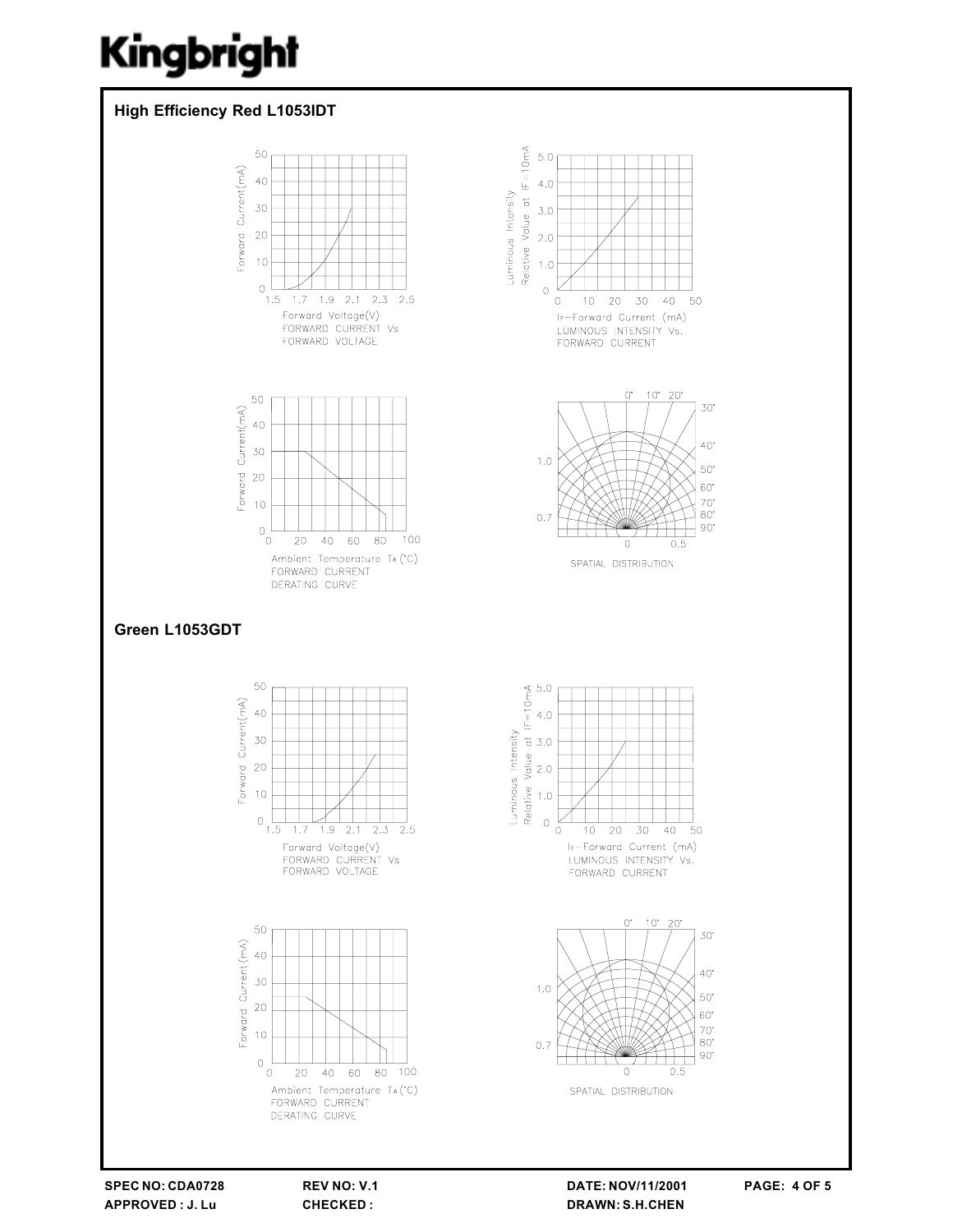

SPEC NO: CDA0728 APPROVED: J. Lu

REV NO: V.1 CHECKED:

DATE: NOV/11/2001 **DRAWN: S.H.CHEN**